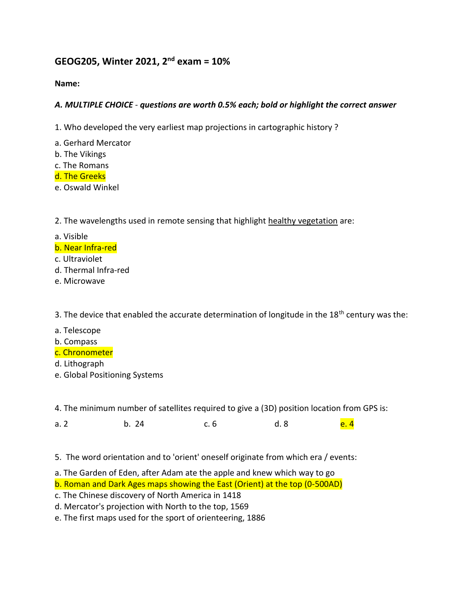# **GEOG205, Winter 2021, 2nd exam = 10%**

#### **Name:**

## *A. MULTIPLE CHOICE - questions are worth 0.5% each; bold or highlight the correct answer*

- 1. Who developed the very earliest map projections in cartographic history ?
- a. Gerhard Mercator
- b. The Vikings
- c. The Romans
- d. The Greeks
- e. Oswald Winkel

### 2. The wavelengths used in remote sensing that highlight healthy vegetation are:

- a. Visible
- b. Near Infra-red
- c. Ultraviolet
- d. Thermal Infra-red
- e. Microwave

3. The device that enabled the accurate determination of longitude in the 18<sup>th</sup> century was the:

- a. Telescope
- b. Compass
- c. Chronometer
- d. Lithograph
- e. Global Positioning Systems

4. The minimum number of satellites required to give a (3D) position location from GPS is:

a. 2 b. 24 c. 6 d. 8 <mark>e. 4</mark>

- 5. The word orientation and to 'orient' oneself originate from which era / events:
- a. The Garden of Eden, after Adam ate the apple and knew which way to go
- b. Roman and Dark Ages maps showing the East (Orient) at the top (0-500AD)
- c. The Chinese discovery of North America in 1418
- d. Mercator's projection with North to the top, 1569
- e. The first maps used for the sport of orienteering, 1886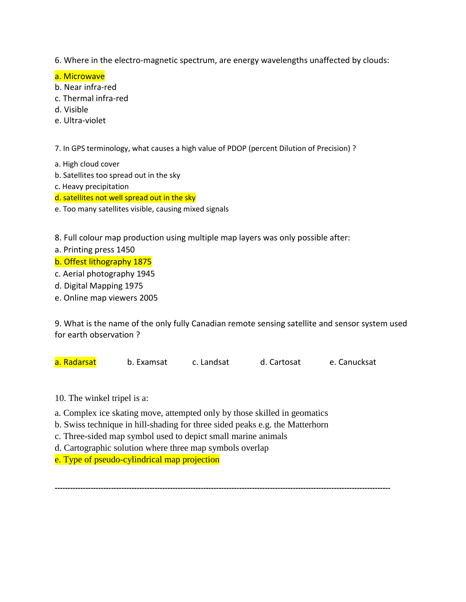6. Where in the electro-magnetic spectrum, are energy wavelengths unaffected by clouds:

a. Microwave

- b. Near infra-red
- c. Thermal infra-red
- d. Visible
- e. Ultra-violet

7. In GPS terminology, what causes a high value of PDOP (percent Dilution of Precision) ?

- a. High cloud cover
- b. Satellites too spread out in the sky
- c. Heavy precipitation

d. satellites not well spread out in the sky

e. Too many satellites visible, causing mixed signals

8. Full colour map production using multiple map layers was only possible after:

- a. Printing press 1450
- b. Offest lithography 1875

c. Aerial photography 1945

- d. Digital Mapping 1975
- e. Online map viewers 2005

9. What is the name of the only fully Canadian remote sensing satellite and sensor system used for earth observation ?

a. Radarsat b. Examsat c. Landsat d. Cartosat e. Canucksat

- 10. The winkel tripel is a:
- a. Complex ice skating move, attempted only by those skilled in geomatics
- b. Swiss technique in hill-shading for three sided peaks e.g. the Matterhorn
- c. Three-sided map symbol used to depict small marine animals
- d. Cartographic solution where three map symbols overlap
- e. Type of pseudo-cylindrical map projection

*-----------------------------------------------------------------------------------------------------------------------------------*